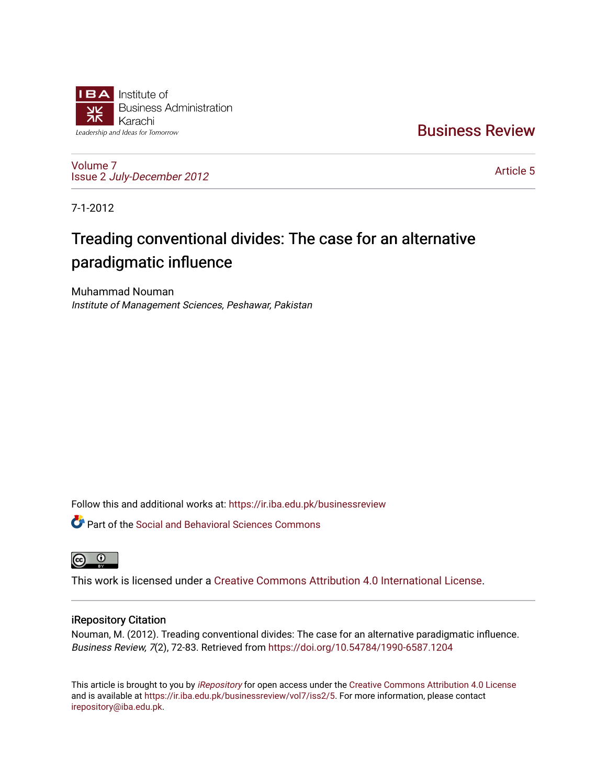

[Business Review](https://ir.iba.edu.pk/businessreview) 

[Volume 7](https://ir.iba.edu.pk/businessreview/vol7) Issue 2 [July-December 2012](https://ir.iba.edu.pk/businessreview/vol7/iss2)

[Article 5](https://ir.iba.edu.pk/businessreview/vol7/iss2/5) 

7-1-2012

# Treading conventional divides: The case for an alternative paradigmatic influence

Muhammad Nouman Institute of Management Sciences, Peshawar, Pakistan

Follow this and additional works at: [https://ir.iba.edu.pk/businessreview](https://ir.iba.edu.pk/businessreview?utm_source=ir.iba.edu.pk%2Fbusinessreview%2Fvol7%2Fiss2%2F5&utm_medium=PDF&utm_campaign=PDFCoverPages) 

Part of the [Social and Behavioral Sciences Commons](http://network.bepress.com/hgg/discipline/316?utm_source=ir.iba.edu.pk%2Fbusinessreview%2Fvol7%2Fiss2%2F5&utm_medium=PDF&utm_campaign=PDFCoverPages) 



This work is licensed under a [Creative Commons Attribution 4.0 International License](https://creativecommons.org/licenses/by/4.0/).

# iRepository Citation

Nouman, M. (2012). Treading conventional divides: The case for an alternative paradigmatic influence. Business Review, 7(2), 72-83. Retrieved from <https://doi.org/10.54784/1990-6587.1204>

This article is brought to you by [iRepository](https://ir.iba.edu.pk/) for open access under the Creative Commons Attribution 4.0 License and is available at [https://ir.iba.edu.pk/businessreview/vol7/iss2/5.](https://ir.iba.edu.pk/businessreview/vol7/iss2/5) For more information, please contact [irepository@iba.edu.pk.](mailto:irepository@iba.edu.pk)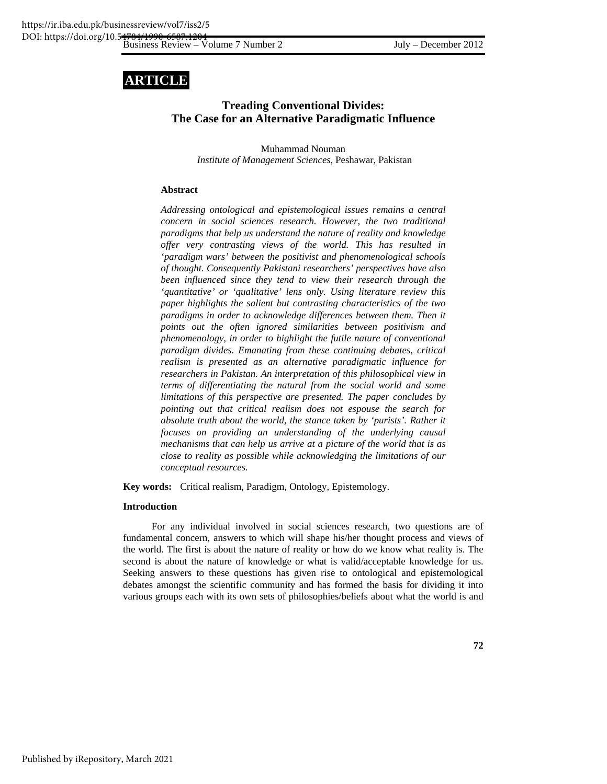# **ARTICLE**

# **Treading Conventional Divides: The Case for an Alternative Paradigmatic Influence**

Muhammad Nouman  *Institute of Management Sciences*, Peshawar, Pakistan

#### **Abstract**

*Addressing ontological and epistemological issues remains a central concern in social sciences research. However, the two traditional paradigms that help us understand the nature of reality and knowledge offer very contrasting views of the world. This has resulted in 'paradigm wars' between the positivist and phenomenological schools of thought. Consequently Pakistani researchers' perspectives have also been influenced since they tend to view their research through the 'quantitative' or 'qualitative' lens only. Using literature review this paper highlights the salient but contrasting characteristics of the two paradigms in order to acknowledge differences between them. Then it points out the often ignored similarities between positivism and phenomenology, in order to highlight the futile nature of conventional paradigm divides. Emanating from these continuing debates, critical realism is presented as an alternative paradigmatic influence for researchers in Pakistan. An interpretation of this philosophical view in terms of differentiating the natural from the social world and some limitations of this perspective are presented. The paper concludes by pointing out that critical realism does not espouse the search for absolute truth about the world, the stance taken by 'purists'. Rather it focuses on providing an understanding of the underlying causal mechanisms that can help us arrive at a picture of the world that is as close to reality as possible while acknowledging the limitations of our conceptual resources.*

**Key words:** Critical realism, Paradigm, Ontology, Epistemology.

#### **Introduction**

For any individual involved in social sciences research, two questions are of fundamental concern, answers to which will shape his/her thought process and views of the world. The first is about the nature of reality or how do we know what reality is. The second is about the nature of knowledge or what is valid/acceptable knowledge for us. Seeking answers to these questions has given rise to ontological and epistemological debates amongst the scientific community and has formed the basis for dividing it into various groups each with its own sets of philosophies/beliefs about what the world is and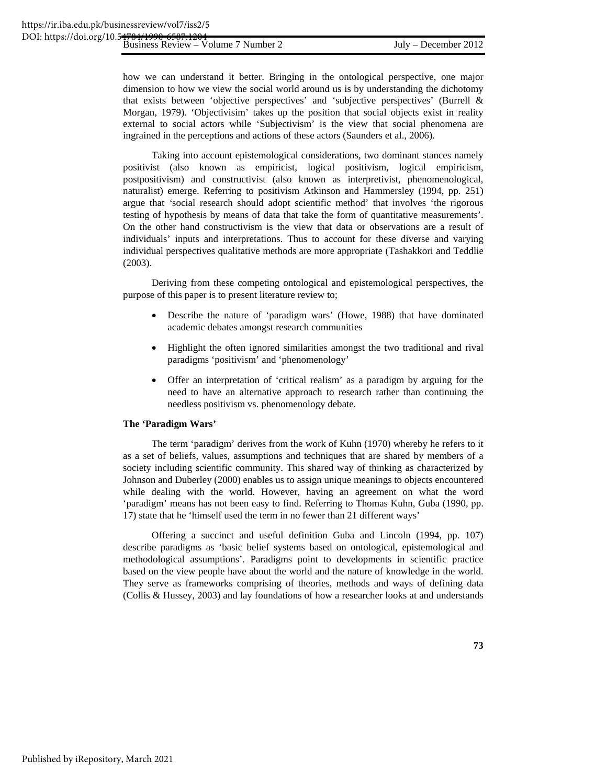how we can understand it better. Bringing in the ontological perspective, one major dimension to how we view the social world around us is by understanding the dichotomy that exists between 'objective perspectives' and 'subjective perspectives' (Burrell & Morgan, 1979). 'Objectivisim' takes up the position that social objects exist in reality external to social actors while 'Subjectivism' is the view that social phenomena are ingrained in the perceptions and actions of these actors (Saunders et al., 2006).

Taking into account epistemological considerations, two dominant stances namely positivist (also known as empiricist, logical positivism, logical empiricism, postpositivism) and constructivist (also known as interpretivist, phenomenological, naturalist) emerge. Referring to positivism Atkinson and Hammersley (1994, pp. 251) argue that *'*social research should adopt scientific method' that involves 'the rigorous testing of hypothesis by means of data that take the form of quantitative measurements'. On the other hand constructivism is the view that data or observations are a result of individuals' inputs and interpretations. Thus to account for these diverse and varying individual perspectives qualitative methods are more appropriate (Tashakkori and Teddlie (2003).

Deriving from these competing ontological and epistemological perspectives, the purpose of this paper is to present literature review to;

- Describe the nature of 'paradigm wars' (Howe, 1988) that have dominated academic debates amongst research communities
- Highlight the often ignored similarities amongst the two traditional and rival paradigms 'positivism' and 'phenomenology'
- Offer an interpretation of 'critical realism' as a paradigm by arguing for the need to have an alternative approach to research rather than continuing the needless positivism vs. phenomenology debate.

#### **The 'Paradigm Wars'**

The term 'paradigm' derives from the work of Kuhn (1970) whereby he refers to it as a set of beliefs, values, assumptions and techniques that are shared by members of a society including scientific community. This shared way of thinking as characterized by Johnson and Duberley (2000) enables us to assign unique meanings to objects encountered while dealing with the world. However, having an agreement on what the word 'paradigm' means has not been easy to find. Referring to Thomas Kuhn, Guba (1990, pp. 17) state that he 'himself used the term in no fewer than 21 different ways'

Offering a succinct and useful definition Guba and Lincoln (1994, pp. 107) describe paradigms as 'basic belief systems based on ontological, epistemological and methodological assumptions'. Paradigms point to developments in scientific practice based on the view people have about the world and the nature of knowledge in the world. They serve as frameworks comprising of theories, methods and ways of defining data (Collis & Hussey, 2003) and lay foundations of how a researcher looks at and understands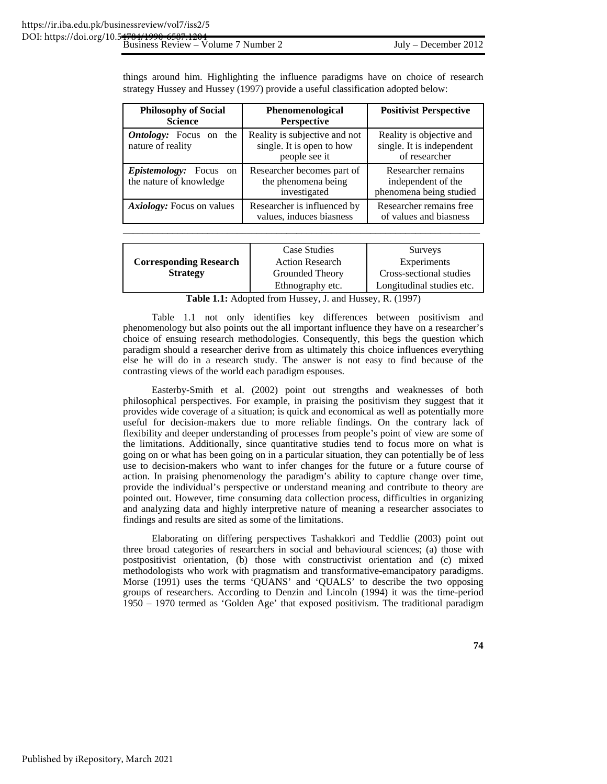|  |  | Business Review – Volume 7 Number 2 |  |  |
|--|--|-------------------------------------|--|--|
|  |  |                                     |  |  |

things around him. Highlighting the influence paradigms have on choice of research strategy Hussey and Hussey (1997) provide a useful classification adopted below:

| <b>Philosophy of Social</b><br><b>Science</b>               | Phenomenological<br><b>Perspective</b>                                      | <b>Positivist Perspective</b>                                          |
|-------------------------------------------------------------|-----------------------------------------------------------------------------|------------------------------------------------------------------------|
| <b>Ontology:</b> Focus on the<br>nature of reality          | Reality is subjective and not<br>single. It is open to how<br>people see it | Reality is objective and<br>single. It is independent<br>of researcher |
| <i>Epistemology:</i> Focus<br>on<br>the nature of knowledge | Researcher becomes part of<br>the phenomena being<br>investigated           | Researcher remains<br>independent of the<br>phenomena being studied    |
| <b>Axiology:</b> Focus on values                            | Researcher is influenced by<br>values, induces biasness                     | Researcher remains free<br>of values and biasness                      |

|                               | Case Studies           | Surveys                   |
|-------------------------------|------------------------|---------------------------|
| <b>Corresponding Research</b> | <b>Action Research</b> | Experiments               |
| <b>Strategy</b>               | Grounded Theory        | Cross-sectional studies   |
|                               | Ethnography etc.       | Longitudinal studies etc. |

\_\_\_\_\_\_\_\_\_\_\_\_\_\_\_\_\_\_\_\_\_\_\_\_\_\_\_\_\_\_\_\_\_\_\_\_\_\_\_\_\_\_\_\_\_\_\_\_\_\_\_\_\_\_\_\_\_\_\_\_\_\_\_\_\_\_\_\_\_\_\_\_

**Table 1.1:** Adopted from Hussey, J. and Hussey, R. (1997)

Table 1.1 not only identifies key differences between positivism and phenomenology but also points out the all important influence they have on a researcher's choice of ensuing research methodologies. Consequently, this begs the question which paradigm should a researcher derive from as ultimately this choice influences everything else he will do in a research study. The answer is not easy to find because of the contrasting views of the world each paradigm espouses.

Easterby-Smith et al. (2002) point out strengths and weaknesses of both philosophical perspectives. For example, in praising the positivism they suggest that it provides wide coverage of a situation; is quick and economical as well as potentially more useful for decision-makers due to more reliable findings. On the contrary lack of flexibility and deeper understanding of processes from people's point of view are some of the limitations. Additionally, since quantitative studies tend to focus more on what is going on or what has been going on in a particular situation, they can potentially be of less use to decision-makers who want to infer changes for the future or a future course of action. In praising phenomenology the paradigm's ability to capture change over time, provide the individual's perspective or understand meaning and contribute to theory are pointed out. However, time consuming data collection process, difficulties in organizing and analyzing data and highly interpretive nature of meaning a researcher associates to findings and results are sited as some of the limitations.

Elaborating on differing perspectives Tashakkori and Teddlie (2003) point out three broad categories of researchers in social and behavioural sciences; (a) those with postpositivist orientation, (b) those with constructivist orientation and (c) mixed methodologists who work with pragmatism and transformative-emancipatory paradigms. Morse (1991) uses the terms 'QUANS' and 'QUALS' to describe the two opposing groups of researchers. According to Denzin and Lincoln (1994) it was the time-period 1950 – 1970 termed as 'Golden Age' that exposed positivism. The traditional paradigm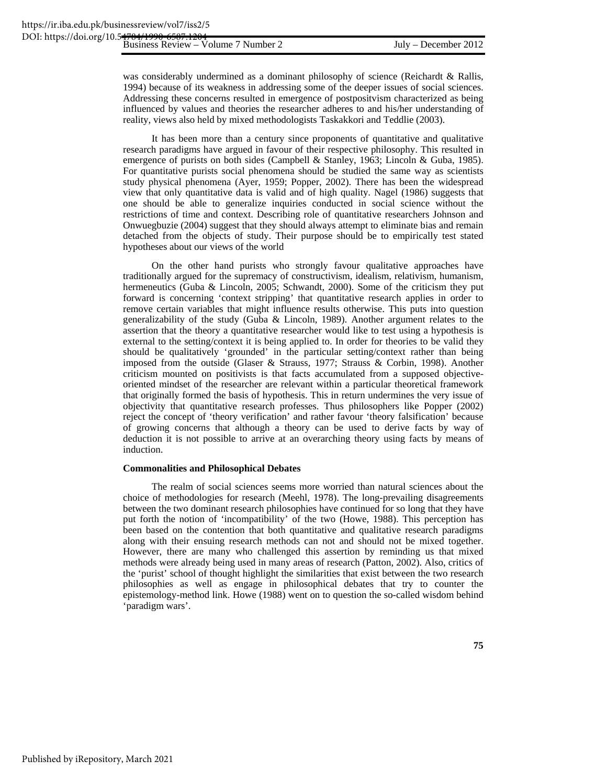was considerably undermined as a dominant philosophy of science (Reichardt & Rallis, 1994) because of its weakness in addressing some of the deeper issues of social sciences. Addressing these concerns resulted in emergence of postpositvism characterized as being influenced by values and theories the researcher adheres to and his/her understanding of reality, views also held by mixed methodologists Taskakkori and Teddlie (2003).

It has been more than a century since proponents of quantitative and qualitative research paradigms have argued in favour of their respective philosophy. This resulted in emergence of purists on both sides (Campbell & Stanley, 1963; Lincoln & Guba, 1985). For quantitative purists social phenomena should be studied the same way as scientists study physical phenomena (Ayer, 1959; Popper, 2002). There has been the widespread view that only quantitative data is valid and of high quality. Nagel (1986) suggests that one should be able to generalize inquiries conducted in social science without the restrictions of time and context. Describing role of quantitative researchers Johnson and Onwuegbuzie (2004) suggest that they should always attempt to eliminate bias and remain detached from the objects of study. Their purpose should be to empirically test stated hypotheses about our views of the world

On the other hand purists who strongly favour qualitative approaches have traditionally argued for the supremacy of constructivism, idealism, relativism, humanism, hermeneutics (Guba & Lincoln, 2005; Schwandt, 2000). Some of the criticism they put forward is concerning 'context stripping' that quantitative research applies in order to remove certain variables that might influence results otherwise. This puts into question generalizability of the study (Guba & Lincoln, 1989). Another argument relates to the assertion that the theory a quantitative researcher would like to test using a hypothesis is external to the setting/context it is being applied to. In order for theories to be valid they should be qualitatively 'grounded' in the particular setting/context rather than being imposed from the outside (Glaser & Strauss, 1977; Strauss & Corbin, 1998). Another criticism mounted on positivists is that facts accumulated from a supposed objectiveoriented mindset of the researcher are relevant within a particular theoretical framework that originally formed the basis of hypothesis. This in return undermines the very issue of objectivity that quantitative research professes. Thus philosophers like Popper (2002) reject the concept of 'theory verification' and rather favour 'theory falsification' because of growing concerns that although a theory can be used to derive facts by way of deduction it is not possible to arrive at an overarching theory using facts by means of induction.

#### **Commonalities and Philosophical Debates**

The realm of social sciences seems more worried than natural sciences about the choice of methodologies for research (Meehl, 1978). The long-prevailing disagreements between the two dominant research philosophies have continued for so long that they have put forth the notion of 'incompatibility' of the two (Howe, 1988). This perception has been based on the contention that both quantitative and qualitative research paradigms along with their ensuing research methods can not and should not be mixed together. However, there are many who challenged this assertion by reminding us that mixed methods were already being used in many areas of research (Patton, 2002). Also, critics of the 'purist' school of thought highlight the similarities that exist between the two research philosophies as well as engage in philosophical debates that try to counter the epistemology-method link. Howe (1988) went on to question the so-called wisdom behind 'paradigm wars'.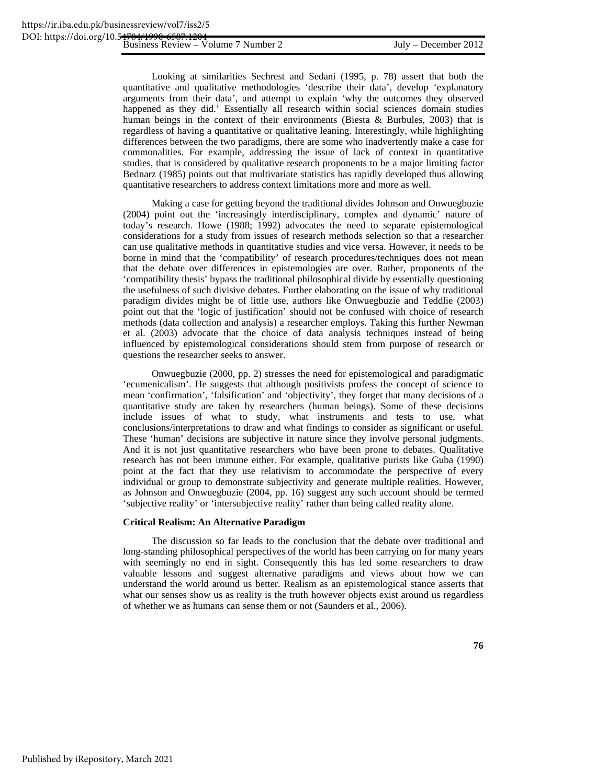#### Business Review – Volume 7 Number 2 July – December 2012 DOI: https://doi.org/10.54784/199

Looking at similarities Sechrest and Sedani (1995, p. 78) assert that both the quantitative and qualitative methodologies 'describe their data', develop 'explanatory arguments from their data', and attempt to explain 'why the outcomes they observed happened as they did.' Essentially all research within social sciences domain studies human beings in the context of their environments (Biesta & Burbules, 2003) that is regardless of having a quantitative or qualitative leaning. Interestingly, while highlighting differences between the two paradigms, there are some who inadvertently make a case for commonalities. For example, addressing the issue of lack of context in quantitative studies, that is considered by qualitative research proponents to be a major limiting factor Bednarz (1985) points out that multivariate statistics has rapidly developed thus allowing quantitative researchers to address context limitations more and more as well.

Making a case for getting beyond the traditional divides Johnson and Onwuegbuzie (2004) point out the 'increasingly interdisciplinary, complex and dynamic' nature of today's research. Howe (1988; 1992) advocates the need to separate epistemological considerations for a study from issues of research methods selection so that a researcher can use qualitative methods in quantitative studies and vice versa. However, it needs to be borne in mind that the 'compatibility' of research procedures/techniques does not mean that the debate over differences in epistemologies are over. Rather, proponents of the 'compatibility thesis' bypass the traditional philosophical divide by essentially questioning the usefulness of such divisive debates. Further elaborating on the issue of why traditional paradigm divides might be of little use, authors like Onwuegbuzie and Teddlie (2003) point out that the 'logic of justification' should not be confused with choice of research methods (data collection and analysis) a researcher employs. Taking this further Newman et al. (2003) advocate that the choice of data analysis techniques instead of being influenced by epistemological considerations should stem from purpose of research or questions the researcher seeks to answer.

Onwuegbuzie (2000, pp. 2) stresses the need for epistemological and paradigmatic 'ecumenicalism'. He suggests that although positivists profess the concept of science to mean 'confirmation', 'falsification' and 'objectivity', they forget that many decisions of a quantitative study are taken by researchers (human beings). Some of these decisions include issues of what to study, what instruments and tests to use, what conclusions/interpretations to draw and what findings to consider as significant or useful. These 'human' decisions are subjective in nature since they involve personal judgments. And it is not just quantitative researchers who have been prone to debates. Qualitative research has not been immune either. For example, qualitative purists like Guba (1990) point at the fact that they use relativism to accommodate the perspective of every individual or group to demonstrate subjectivity and generate multiple realities. However, as Johnson and Onwuegbuzie (2004, pp. 16) suggest any such account should be termed 'subjective reality' or 'intersubjective reality' rather than being called reality alone.

#### **Critical Realism: An Alternative Paradigm**

The discussion so far leads to the conclusion that the debate over traditional and long-standing philosophical perspectives of the world has been carrying on for many years with seemingly no end in sight. Consequently this has led some researchers to draw valuable lessons and suggest alternative paradigms and views about how we can understand the world around us better. Realism as an epistemological stance asserts that what our senses show us as reality is the truth however objects exist around us regardless of whether we as humans can sense them or not (Saunders et al., 2006).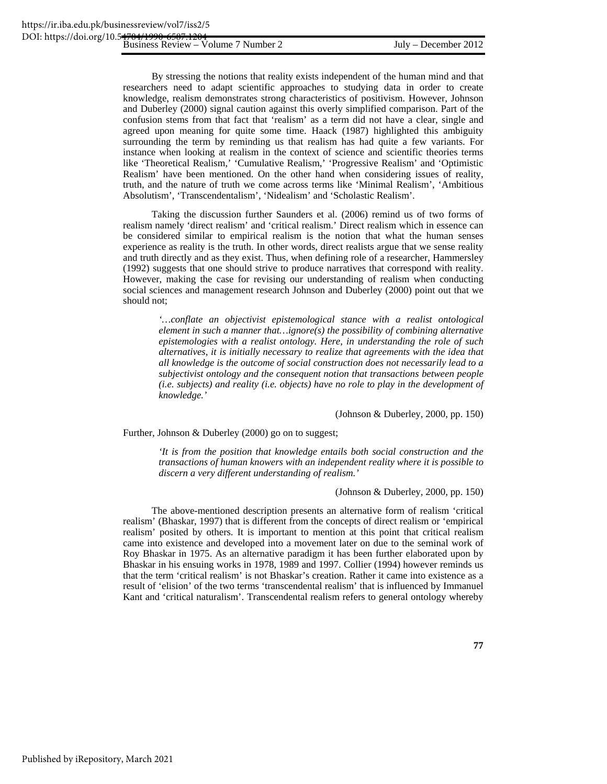By stressing the notions that reality exists independent of the human mind and that researchers need to adapt scientific approaches to studying data in order to create knowledge, realism demonstrates strong characteristics of positivism. However, Johnson and Duberley (2000) signal caution against this overly simplified comparison. Part of the confusion stems from that fact that 'realism' as a term did not have a clear, single and agreed upon meaning for quite some time. Haack (1987) highlighted this ambiguity surrounding the term by reminding us that realism has had quite a few variants. For instance when looking at realism in the context of science and scientific theories terms like 'Theoretical Realism,' 'Cumulative Realism,' 'Progressive Realism' and 'Optimistic Realism' have been mentioned. On the other hand when considering issues of reality, truth, and the nature of truth we come across terms like 'Minimal Realism', 'Ambitious Absolutism', 'Transcendentalism', 'Nidealism' and 'Scholastic Realism'.

Taking the discussion further Saunders et al. (2006) remind us of two forms of realism namely 'direct realism' and 'critical realism.' Direct realism which in essence can be considered similar to empirical realism is the notion that what the human senses experience as reality is the truth. In other words, direct realists argue that we sense reality and truth directly and as they exist. Thus, when defining role of a researcher, Hammersley (1992) suggests that one should strive to produce narratives that correspond with reality. However, making the case for revising our understanding of realism when conducting social sciences and management research Johnson and Duberley (2000) point out that we should not;

*'…conflate an objectivist epistemological stance with a realist ontological element in such a manner that…ignore(s) the possibility of combining alternative epistemologies with a realist ontology. Here, in understanding the role of such alternatives, it is initially necessary to realize that agreements with the idea that all knowledge is the outcome of social construction does not necessarily lead to a subjectivist ontology and the consequent notion that transactions between people (i.e. subjects) and reality (i.e. objects) have no role to play in the development of knowledge.'* 

(Johnson & Duberley, 2000, pp. 150)

Further, Johnson & Duberley (2000) go on to suggest;

*'It is from the position that knowledge entails both social construction and the transactions of human knowers with an independent reality where it is possible to discern a very different understanding of realism.'* 

(Johnson & Duberley, 2000, pp. 150)

The above-mentioned description presents an alternative form of realism 'critical realism' (Bhaskar, 1997) that is different from the concepts of direct realism or 'empirical realism' posited by others. It is important to mention at this point that critical realism came into existence and developed into a movement later on due to the seminal work of Roy Bhaskar in 1975. As an alternative paradigm it has been further elaborated upon by Bhaskar in his ensuing works in 1978, 1989 and 1997. Collier (1994) however reminds us that the term 'critical realism' is not Bhaskar's creation. Rather it came into existence as a result of 'elision' of the two terms 'transcendental realism' that is influenced by Immanuel Kant and 'critical naturalism'. Transcendental realism refers to general ontology whereby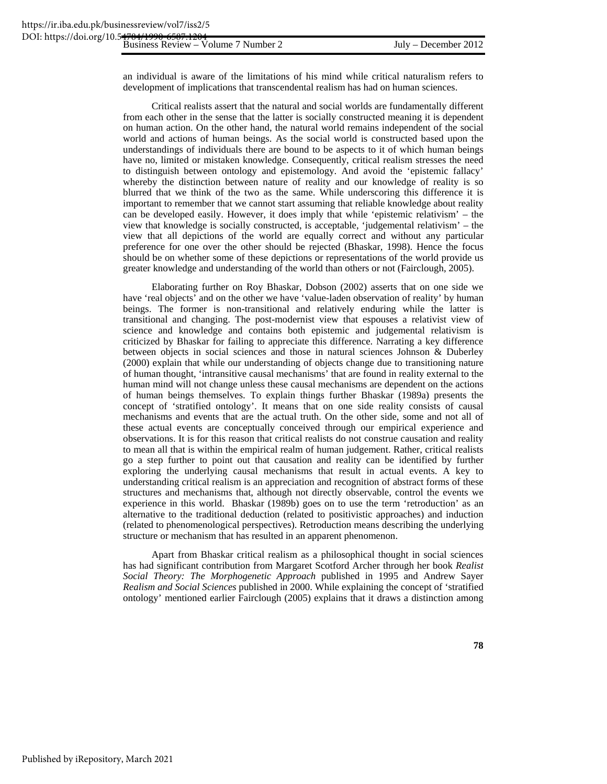an individual is aware of the limitations of his mind while critical naturalism refers to development of implications that transcendental realism has had on human sciences.

Critical realists assert that the natural and social worlds are fundamentally different from each other in the sense that the latter is socially constructed meaning it is dependent on human action. On the other hand, the natural world remains independent of the social world and actions of human beings. As the social world is constructed based upon the understandings of individuals there are bound to be aspects to it of which human beings have no, limited or mistaken knowledge. Consequently, critical realism stresses the need to distinguish between ontology and epistemology. And avoid the 'epistemic fallacy' whereby the distinction between nature of reality and our knowledge of reality is so blurred that we think of the two as the same. While underscoring this difference it is important to remember that we cannot start assuming that reliable knowledge about reality can be developed easily. However, it does imply that while 'epistemic relativism' – the view that knowledge is socially constructed, is acceptable, 'judgemental relativism' – the view that all depictions of the world are equally correct and without any particular preference for one over the other should be rejected (Bhaskar, 1998). Hence the focus should be on whether some of these depictions or representations of the world provide us greater knowledge and understanding of the world than others or not (Fairclough, 2005).

Elaborating further on Roy Bhaskar, Dobson (2002) asserts that on one side we have 'real objects' and on the other we have 'value-laden observation of reality' by human beings. The former is non-transitional and relatively enduring while the latter is transitional and changing. The post-modernist view that espouses a relativist view of science and knowledge and contains both epistemic and judgemental relativism is criticized by Bhaskar for failing to appreciate this difference. Narrating a key difference between objects in social sciences and those in natural sciences Johnson & Duberley (2000) explain that while our understanding of objects change due to transitioning nature of human thought, 'intransitive causal mechanisms' that are found in reality external to the human mind will not change unless these causal mechanisms are dependent on the actions of human beings themselves. To explain things further Bhaskar (1989a) presents the concept of 'stratified ontology'. It means that on one side reality consists of causal mechanisms and events that are the actual truth. On the other side, some and not all of these actual events are conceptually conceived through our empirical experience and observations. It is for this reason that critical realists do not construe causation and reality to mean all that is within the empirical realm of human judgement. Rather, critical realists go a step further to point out that causation and reality can be identified by further exploring the underlying causal mechanisms that result in actual events. A key to understanding critical realism is an appreciation and recognition of abstract forms of these structures and mechanisms that, although not directly observable, control the events we experience in this world. Bhaskar (1989b) goes on to use the term 'retroduction' as an alternative to the traditional deduction (related to positivistic approaches) and induction (related to phenomenological perspectives). Retroduction means describing the underlying structure or mechanism that has resulted in an apparent phenomenon.

Apart from Bhaskar critical realism as a philosophical thought in social sciences has had significant contribution from Margaret Scotford Archer through her book *Realist Social Theory: The Morphogenetic Approach* published in 1995 and Andrew Sayer *Realism and Social Sciences* published in 2000. While explaining the concept of 'stratified ontology' mentioned earlier Fairclough (2005) explains that it draws a distinction among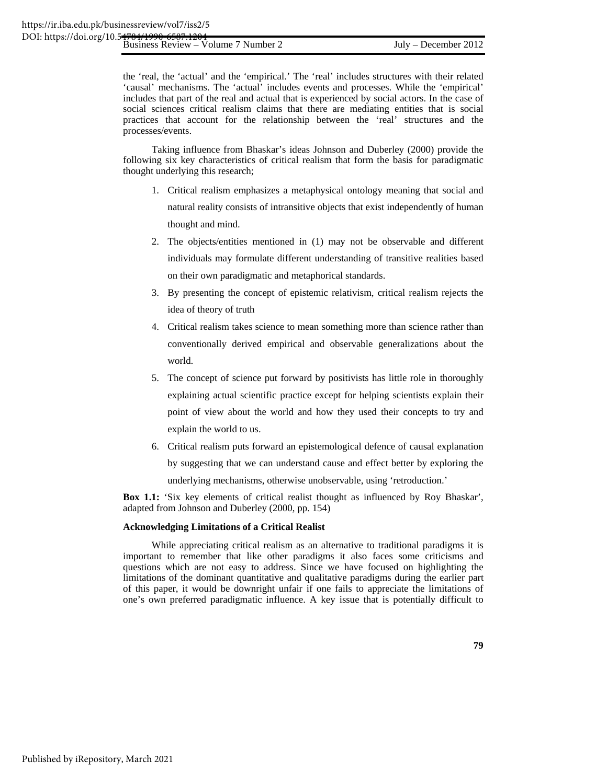the 'real, the 'actual' and the 'empirical.' The 'real' includes structures with their related 'causal' mechanisms. The 'actual' includes events and processes. While the 'empirical' includes that part of the real and actual that is experienced by social actors. In the case of social sciences critical realism claims that there are mediating entities that is social practices that account for the relationship between the 'real' structures and the processes/events.

Taking influence from Bhaskar's ideas Johnson and Duberley (2000) provide the following six key characteristics of critical realism that form the basis for paradigmatic thought underlying this research;

- 1. Critical realism emphasizes a metaphysical ontology meaning that social and natural reality consists of intransitive objects that exist independently of human thought and mind.
- 2. The objects/entities mentioned in (1) may not be observable and different individuals may formulate different understanding of transitive realities based on their own paradigmatic and metaphorical standards.
- 3. By presenting the concept of epistemic relativism, critical realism rejects the idea of theory of truth
- 4. Critical realism takes science to mean something more than science rather than conventionally derived empirical and observable generalizations about the world.
- 5. The concept of science put forward by positivists has little role in thoroughly explaining actual scientific practice except for helping scientists explain their point of view about the world and how they used their concepts to try and explain the world to us.
- 6. Critical realism puts forward an epistemological defence of causal explanation by suggesting that we can understand cause and effect better by exploring the underlying mechanisms, otherwise unobservable, using 'retroduction.'

**Box 1.1:** 'Six key elements of critical realist thought as influenced by Roy Bhaskar', adapted from Johnson and Duberley (2000, pp. 154)

#### **Acknowledging Limitations of a Critical Realist**

While appreciating critical realism as an alternative to traditional paradigms it is important to remember that like other paradigms it also faces some criticisms and questions which are not easy to address. Since we have focused on highlighting the limitations of the dominant quantitative and qualitative paradigms during the earlier part of this paper, it would be downright unfair if one fails to appreciate the limitations of one's own preferred paradigmatic influence. A key issue that is potentially difficult to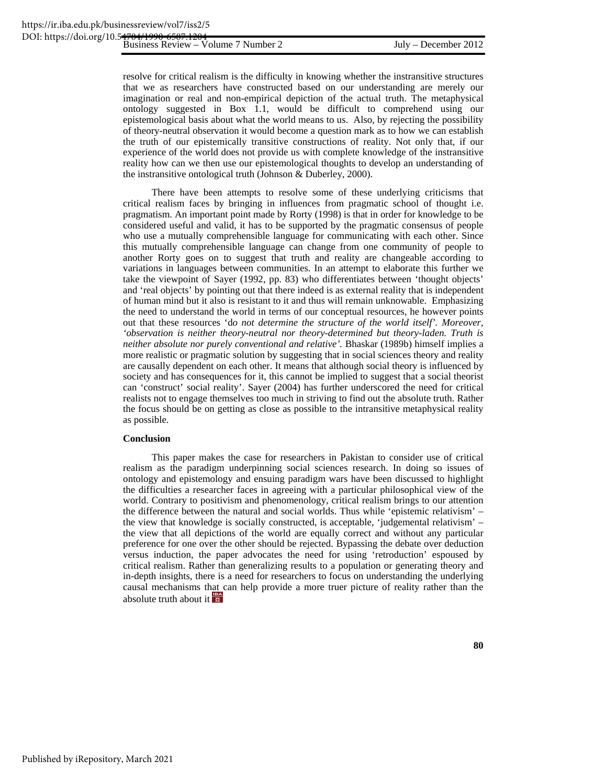resolve for critical realism is the difficulty in knowing whether the instransitive structures that we as researchers have constructed based on our understanding are merely our imagination or real and non-empirical depiction of the actual truth. The metaphysical ontology suggested in Box 1.1, would be difficult to comprehend using our epistemological basis about what the world means to us. Also, by rejecting the possibility of theory-neutral observation it would become a question mark as to how we can establish the truth of our epistemically transitive constructions of reality. Not only that, if our experience of the world does not provide us with complete knowledge of the instransitive reality how can we then use our epistemological thoughts to develop an understanding of the instransitive ontological truth (Johnson & Duberley, 2000).

There have been attempts to resolve some of these underlying criticisms that critical realism faces by bringing in influences from pragmatic school of thought i.e. pragmatism. An important point made by Rorty (1998) is that in order for knowledge to be considered useful and valid, it has to be supported by the pragmatic consensus of people who use a mutually comprehensible language for communicating with each other. Since this mutually comprehensible language can change from one community of people to another Rorty goes on to suggest that truth and reality are changeable according to variations in languages between communities. In an attempt to elaborate this further we take the viewpoint of Sayer (1992, pp. 83) who differentiates between 'thought objects' and 'real objects' by pointing out that there indeed is as external reality that is independent of human mind but it also is resistant to it and thus will remain unknowable. Emphasizing the need to understand the world in terms of our conceptual resources, he however points out that these resources 'd*o not determine the structure of the world itself'. Moreover, 'observation is neither theory-neutral nor theory-determined but theory-laden. Truth is neither absolute nor purely conventional and relative'.* Bhaskar (1989b) himself implies a more realistic or pragmatic solution by suggesting that in social sciences theory and reality are causally dependent on each other. It means that although social theory is influenced by society and has consequences for it, this cannot be implied to suggest that a social theorist can 'construct' social reality'. Sayer (2004) has further underscored the need for critical realists not to engage themselves too much in striving to find out the absolute truth. Rather the focus should be on getting as close as possible to the intransitive metaphysical reality as possible.

#### **Conclusion**

This paper makes the case for researchers in Pakistan to consider use of critical realism as the paradigm underpinning social sciences research. In doing so issues of ontology and epistemology and ensuing paradigm wars have been discussed to highlight the difficulties a researcher faces in agreeing with a particular philosophical view of the world. Contrary to positivism and phenomenology, critical realism brings to our attention the difference between the natural and social worlds. Thus while 'epistemic relativism' – the view that knowledge is socially constructed, is acceptable, 'judgemental relativism' – the view that all depictions of the world are equally correct and without any particular preference for one over the other should be rejected. Bypassing the debate over deduction versus induction, the paper advocates the need for using 'retroduction' espoused by critical realism. Rather than generalizing results to a population or generating theory and in-depth insights, there is a need for researchers to focus on understanding the underlying causal mechanisms that can help provide a more truer picture of reality rather than the absolute truth about it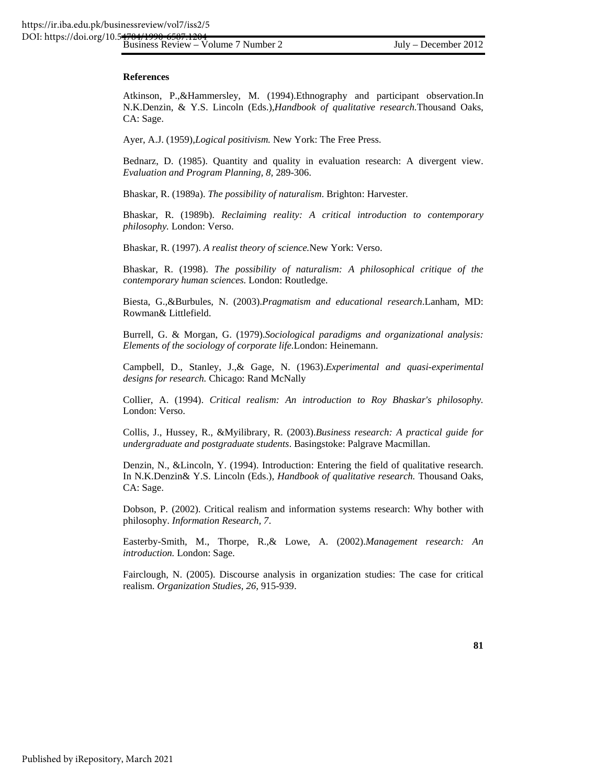#### **References**

Atkinson, P.,&Hammersley, M. (1994).Ethnography and participant observation.In N.K.Denzin, & Y.S. Lincoln (Eds.),*Handbook of qualitative research.*Thousand Oaks, CA: Sage.

Ayer, A.J. (1959),*Logical positivism.* New York: The Free Press.

Bednarz, D. (1985). Quantity and quality in evaluation research: A divergent view. *Evaluation and Program Planning, 8,* 289-306.

Bhaskar, R. (1989a). *The possibility of naturalism*. Brighton: Harvester.

Bhaskar, R. (1989b). *Reclaiming reality: A critical introduction to contemporary philosophy.* London: Verso.

Bhaskar, R. (1997). *A realist theory of science.*New York: Verso.

Bhaskar, R. (1998). *The possibility of naturalism: A philosophical critique of the contemporary human sciences.* London: Routledge.

Biesta, G.,&Burbules, N. (2003).*Pragmatism and educational research*.Lanham, MD: Rowman& Littlefield.

Burrell, G. & Morgan, G. (1979).*Sociological paradigms and organizational analysis: Elements of the sociology of corporate life.*London: Heinemann.

Campbell, D., Stanley, J.,& Gage, N. (1963).*Experimental and quasi-experimental designs for research.* Chicago: Rand McNally

Collier, A. (1994). *Critical realism: An introduction to Roy Bhaskar's philosophy.* London: Verso.

Collis, J., Hussey, R., &Myilibrary, R. (2003).*Business research: A practical guide for undergraduate and postgraduate students*. Basingstoke: Palgrave Macmillan.

Denzin, N., &Lincoln, Y. (1994). Introduction: Entering the field of qualitative research. In N.K.Denzin& Y.S. Lincoln (Eds.), *Handbook of qualitative research.* Thousand Oaks, CA: Sage.

Dobson, P. (2002). Critical realism and information systems research: Why bother with philosophy. *Information Research, 7*.

Easterby-Smith, M., Thorpe, R.,& Lowe, A. (2002).*Management research: An introduction.* London: Sage.

Fairclough, N. (2005). Discourse analysis in organization studies: The case for critical realism. *Organization Studies, 26,* 915-939.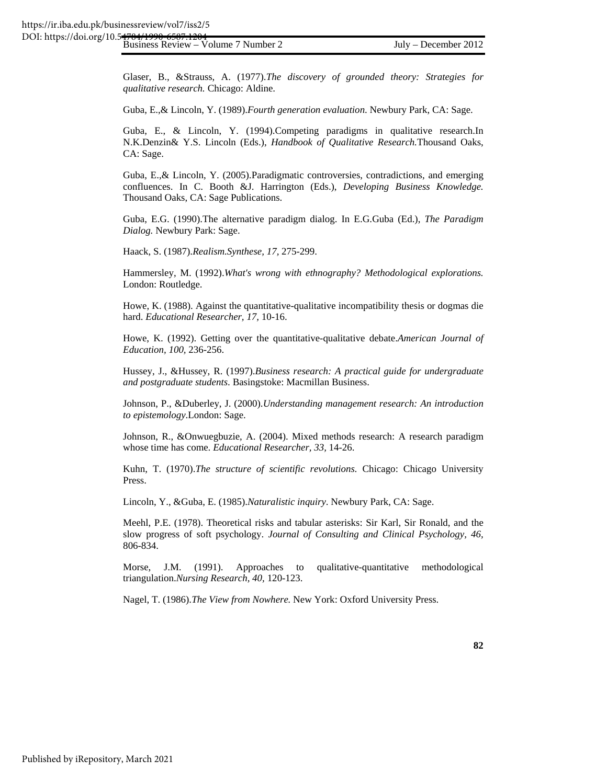Glaser, B., &Strauss, A. (1977).*The discovery of grounded theory: Strategies for qualitative research.* Chicago: Aldine.

Guba, E.,& Lincoln, Y. (1989).*Fourth generation evaluation*. Newbury Park, CA: Sage.

Guba, E., & Lincoln, Y. (1994).Competing paradigms in qualitative research.In N.K.Denzin& Y.S. Lincoln (Eds.), *Handbook of Qualitative Research.*Thousand Oaks, CA: Sage.

Guba, E.,& Lincoln, Y. (2005).Paradigmatic controversies, contradictions, and emerging confluences. In C. Booth &J. Harrington (Eds.), *Developing Business Knowledge.* Thousand Oaks, CA: Sage Publications.

Guba, E.G. (1990).The alternative paradigm dialog. In E.G.Guba (Ed.), *The Paradigm Dialog.* Newbury Park: Sage.

Haack, S. (1987).*Realism.Synthese, 17,* 275-299.

Hammersley, M. (1992).*What's wrong with ethnography? Methodological explorations.* London: Routledge.

Howe, K. (1988). Against the quantitative-qualitative incompatibility thesis or dogmas die hard. *Educational Researcher, 17,* 10-16.

Howe, K. (1992). Getting over the quantitative-qualitative debate.*American Journal of Education, 100,* 236-256.

Hussey, J., &Hussey, R. (1997).*Business research: A practical guide for undergraduate and postgraduate students*. Basingstoke: Macmillan Business.

Johnson, P., &Duberley, J. (2000).*Understanding management research: An introduction to epistemology*.London: Sage.

Johnson, R., &Onwuegbuzie, A. (2004). Mixed methods research: A research paradigm whose time has come. *Educational Researcher, 33,* 14-26.

Kuhn, T. (1970).*The structure of scientific revolutions.* Chicago: Chicago University Press.

Lincoln, Y., &Guba, E. (1985).*Naturalistic inquiry*. Newbury Park, CA: Sage.

Meehl, P.E. (1978). Theoretical risks and tabular asterisks: Sir Karl, Sir Ronald, and the slow progress of soft psychology. *Journal of Consulting and Clinical Psychology, 46,* 806-834.

Morse, J.M. (1991). Approaches to qualitative-quantitative methodological triangulation.*Nursing Research, 40,* 120-123.

Nagel, T. (1986).*The View from Nowhere.* New York: Oxford University Press.